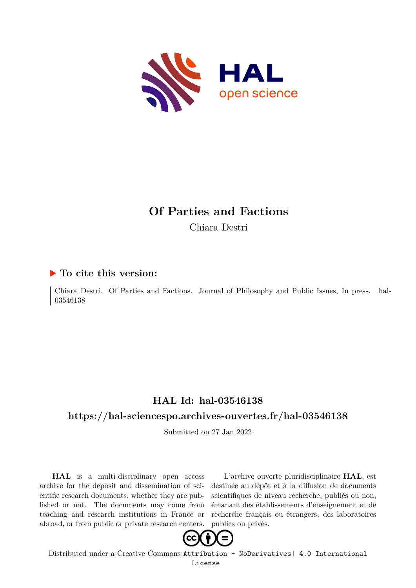

# **Of Parties and Factions**

Chiara Destri

### **To cite this version:**

Chiara Destri. Of Parties and Factions. Journal of Philosophy and Public Issues, In press. hal-03546138

## **HAL Id: hal-03546138**

## **<https://hal-sciencespo.archives-ouvertes.fr/hal-03546138>**

Submitted on 27 Jan 2022

**HAL** is a multi-disciplinary open access archive for the deposit and dissemination of scientific research documents, whether they are published or not. The documents may come from teaching and research institutions in France or abroad, or from public or private research centers.

L'archive ouverte pluridisciplinaire **HAL**, est destinée au dépôt et à la diffusion de documents scientifiques de niveau recherche, publiés ou non, émanant des établissements d'enseignement et de recherche français ou étrangers, des laboratoires publics ou privés.



Distributed under a Creative Commons [Attribution - NoDerivatives| 4.0 International](http://creativecommons.org/licenses/by-nd/4.0/) [License](http://creativecommons.org/licenses/by-nd/4.0/)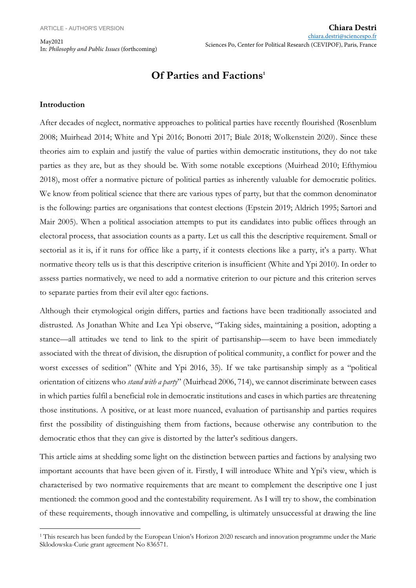May2021 In: *Philosophy and Public Issues* (forthcoming)

## **Of Parties and Factions<sup>1</sup>**

#### **Introduction**

After decades of neglect, normative approaches to political parties have recently flourished (Rosenblum 2008; Muirhead 2014; White and Ypi 2016; Bonotti 2017; Biale 2018; Wolkenstein 2020). Since these theories aim to explain and justify the value of parties within democratic institutions, they do not take parties as they are, but as they should be. With some notable exceptions (Muirhead 2010; Efthymiou 2018), most offer a normative picture of political parties as inherently valuable for democratic politics. We know from political science that there are various types of party, but that the common denominator is the following: parties are organisations that contest elections (Epstein 2019; Aldrich 1995; Sartori and Mair 2005). When a political association attempts to put its candidates into public offices through an electoral process, that association counts as a party. Let us call this the descriptive requirement. Small or sectorial as it is, if it runs for office like a party, if it contests elections like a party, it's a party. What normative theory tells us is that this descriptive criterion is insufficient (White and Ypi 2010). In order to assess parties normatively, we need to add a normative criterion to our picture and this criterion serves to separate parties from their evil alter ego: factions.

Although their etymological origin differs, parties and factions have been traditionally associated and distrusted. As Jonathan White and Lea Ypi observe, "Taking sides, maintaining a position, adopting a stance—all attitudes we tend to link to the spirit of partisanship—seem to have been immediately associated with the threat of division, the disruption of political community, a conflict for power and the worst excesses of sedition" (White and Ypi 2016, 35). If we take partisanship simply as a "political orientation of citizens who *stand with a party*" (Muirhead 2006, 714), we cannot discriminate between cases in which parties fulfil a beneficial role in democratic institutions and cases in which parties are threatening those institutions. A positive, or at least more nuanced, evaluation of partisanship and parties requires first the possibility of distinguishing them from factions, because otherwise any contribution to the democratic ethos that they can give is distorted by the latter's seditious dangers.

This article aims at shedding some light on the distinction between parties and factions by analysing two important accounts that have been given of it. Firstly, I will introduce White and Ypi's view, which is characterised by two normative requirements that are meant to complement the descriptive one I just mentioned: the common good and the contestability requirement. As I will try to show, the combination of these requirements, though innovative and compelling, is ultimately unsuccessful at drawing the line

<sup>&</sup>lt;sup>1</sup> This research has been funded by the European Union's Horizon 2020 research and innovation programme under the Marie Sklodowska-Curie grant agreement No 836571.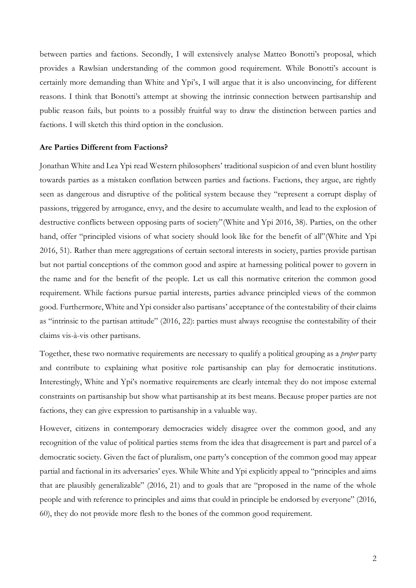between parties and factions. Secondly, I will extensively analyse Matteo Bonotti's proposal, which provides a Rawlsian understanding of the common good requirement. While Bonotti's account is certainly more demanding than White and Ypi's, I will argue that it is also unconvincing, for different reasons. I think that Bonotti's attempt at showing the intrinsic connection between partisanship and public reason fails, but points to a possibly fruitful way to draw the distinction between parties and factions. I will sketch this third option in the conclusion.

#### **Are Parties Different from Factions?**

Jonathan White and Lea Ypi read Western philosophers' traditional suspicion of and even blunt hostility towards parties as a mistaken conflation between parties and factions. Factions, they argue, are rightly seen as dangerous and disruptive of the political system because they "represent a corrupt display of passions, triggered by arrogance, envy, and the desire to accumulate wealth, and lead to the explosion of destructive conflicts between opposing parts of society"(White and Ypi 2016, 38). Parties, on the other hand, offer "principled visions of what society should look like for the benefit of all"(White and Ypi 2016, 51). Rather than mere aggregations of certain sectoral interests in society, parties provide partisan but not partial conceptions of the common good and aspire at harnessing political power to govern in the name and for the benefit of the people. Let us call this normative criterion the common good requirement. While factions pursue partial interests, parties advance principled views of the common good. Furthermore, White and Ypi consider also partisans' acceptance of the contestability of their claims as "intrinsic to the partisan attitude" (2016, 22): parties must always recognise the contestability of their claims vis-à-vis other partisans.

Together, these two normative requirements are necessary to qualify a political grouping as a *proper* party and contribute to explaining what positive role partisanship can play for democratic institutions. Interestingly, White and Ypi's normative requirements are clearly internal: they do not impose external constraints on partisanship but show what partisanship at its best means. Because proper parties are not factions, they can give expression to partisanship in a valuable way.

However, citizens in contemporary democracies widely disagree over the common good, and any recognition of the value of political parties stems from the idea that disagreement is part and parcel of a democratic society. Given the fact of pluralism, one party's conception of the common good may appear partial and factional in its adversaries' eyes. While White and Ypi explicitly appeal to "principles and aims that are plausibly generalizable" (2016, 21) and to goals that are "proposed in the name of the whole people and with reference to principles and aims that could in principle be endorsed by everyone" (2016, 60), they do not provide more flesh to the bones of the common good requirement.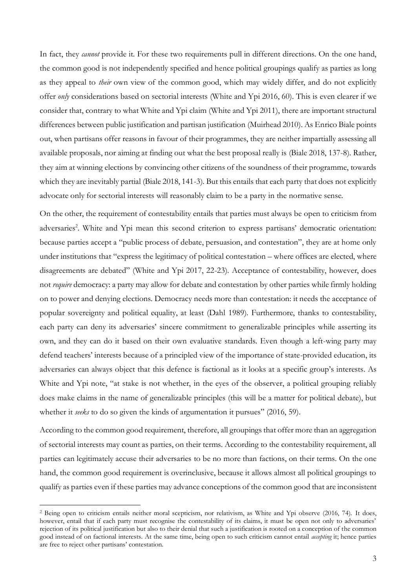In fact, they *cannot* provide it. For these two requirements pull in different directions. On the one hand, the common good is not independently specified and hence political groupings qualify as parties as long as they appeal to *their* own view of the common good, which may widely differ, and do not explicitly offer *only* considerations based on sectorial interests (White and Ypi 2016, 60). This is even clearer if we consider that, contrary to what White and Ypi claim (White and Ypi 2011), there are important structural differences between public justification and partisan justification (Muirhead 2010). As Enrico Biale points out, when partisans offer reasons in favour of their programmes, they are neither impartially assessing all available proposals, nor aiming at finding out what the best proposal really is (Biale 2018, 137-8). Rather, they aim at winning elections by convincing other citizens of the soundness of their programme, towards which they are inevitably partial (Biale 2018, 141-3). But this entails that each party that does not explicitly advocate only for sectorial interests will reasonably claim to be a party in the normative sense.

On the other, the requirement of contestability entails that parties must always be open to criticism from adversaries<sup>2</sup>. White and Ypi mean this second criterion to express partisans' democratic orientation: because parties accept a "public process of debate, persuasion, and contestation", they are at home only under institutions that "express the legitimacy of political contestation – where offices are elected, where disagreements are debated" (White and Ypi 2017, 22-23). Acceptance of contestability, however, does not *require* democracy: a party may allow for debate and contestation by other parties while firmly holding on to power and denying elections. Democracy needs more than contestation: it needs the acceptance of popular sovereignty and political equality, at least (Dahl 1989). Furthermore, thanks to contestability, each party can deny its adversaries' sincere commitment to generalizable principles while asserting its own, and they can do it based on their own evaluative standards. Even though a left-wing party may defend teachers' interests because of a principled view of the importance of state-provided education, its adversaries can always object that this defence is factional as it looks at a specific group's interests. As White and Ypi note, "at stake is not whether, in the eyes of the observer, a political grouping reliably does make claims in the name of generalizable principles (this will be a matter for political debate), but whether it *seeks* to do so given the kinds of argumentation it pursues" (2016, 59).

According to the common good requirement, therefore, all groupings that offer more than an aggregation of sectorial interests may count as parties, on their terms. According to the contestability requirement, all parties can legitimately accuse their adversaries to be no more than factions, on their terms. On the one hand, the common good requirement is overinclusive, because it allows almost all political groupings to qualify as parties even if these parties may advance conceptions of the common good that are inconsistent

<sup>&</sup>lt;sup>2</sup> Being open to criticism entails neither moral scepticism, nor relativism, as White and Ypi observe (2016, 74). It does, however, entail that if each party must recognise the contestability of its claims, it must be open not only to adversaries' rejection of its political justification but also to their denial that such a justification is rooted on a conception of the common good instead of on factional interests. At the same time, being open to such criticism cannot entail *accepting* it; hence parties are free to reject other partisans' contestation.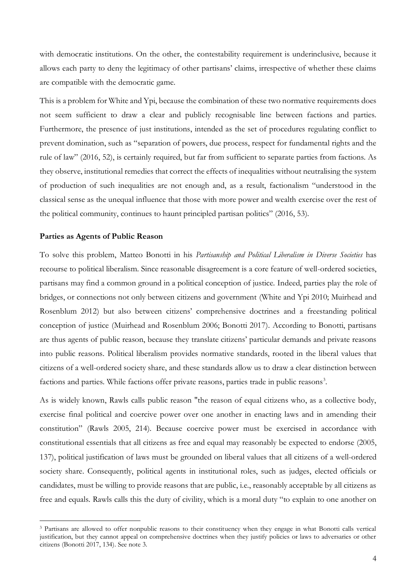with democratic institutions. On the other, the contestability requirement is underinclusive, because it allows each party to deny the legitimacy of other partisans' claims, irrespective of whether these claims are compatible with the democratic game.

This is a problem for White and Ypi, because the combination of these two normative requirements does not seem sufficient to draw a clear and publicly recognisable line between factions and parties. Furthermore, the presence of just institutions, intended as the set of procedures regulating conflict to prevent domination, such as "separation of powers, due process, respect for fundamental rights and the rule of law" (2016, 52), is certainly required, but far from sufficient to separate parties from factions. As they observe, institutional remedies that correct the effects of inequalities without neutralising the system of production of such inequalities are not enough and, as a result, factionalism "understood in the classical sense as the unequal influence that those with more power and wealth exercise over the rest of the political community, continues to haunt principled partisan politics" (2016, 53).

#### **Parties as Agents of Public Reason**

To solve this problem, Matteo Bonotti in his *Partisanship and Political Liberalism in Diverse Societies* has recourse to political liberalism. Since reasonable disagreement is a core feature of well-ordered societies, partisans may find a common ground in a political conception of justice. Indeed, parties play the role of bridges, or connections not only between citizens and government (White and Ypi 2010; Muirhead and Rosenblum 2012) but also between citizens' comprehensive doctrines and a freestanding political conception of justice (Muirhead and Rosenblum 2006; Bonotti 2017). According to Bonotti, partisans are thus agents of public reason, because they translate citizens' particular demands and private reasons into public reasons. Political liberalism provides normative standards, rooted in the liberal values that citizens of a well-ordered society share, and these standards allow us to draw a clear distinction between factions and parties. While factions offer private reasons, parties trade in public reasons<sup>3</sup>.

As is widely known, Rawls calls public reason "the reason of equal citizens who, as a collective body, exercise final political and coercive power over one another in enacting laws and in amending their constitution" (Rawls 2005, 214). Because coercive power must be exercised in accordance with constitutional essentials that all citizens as free and equal may reasonably be expected to endorse (2005, 137), political justification of laws must be grounded on liberal values that all citizens of a well-ordered society share. Consequently, political agents in institutional roles, such as judges, elected officials or candidates, must be willing to provide reasons that are public, i.e., reasonably acceptable by all citizens as free and equals. Rawls calls this the duty of civility, which is a moral duty "to explain to one another on

<sup>3</sup> Partisans are allowed to offer nonpublic reasons to their constituency when they engage in what Bonotti calls vertical justification, but they cannot appeal on comprehensive doctrines when they justify policies or laws to adversaries or other citizens (Bonotti 2017, 134). See note 3.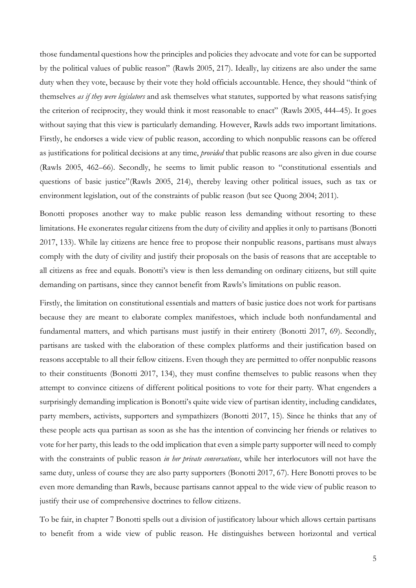those fundamental questions how the principles and policies they advocate and vote for can be supported by the political values of public reason" (Rawls 2005, 217). Ideally, lay citizens are also under the same duty when they vote, because by their vote they hold officials accountable. Hence, they should "think of themselves *as if they were legislators* and ask themselves what statutes, supported by what reasons satisfying the criterion of reciprocity, they would think it most reasonable to enact" (Rawls 2005, 444–45). It goes without saying that this view is particularly demanding. However, Rawls adds two important limitations. Firstly, he endorses a wide view of public reason, according to which nonpublic reasons can be offered as justifications for political decisions at any time, *provided* that public reasons are also given in due course (Rawls 2005, 462–66). Secondly, he seems to limit public reason to "constitutional essentials and questions of basic justice"(Rawls 2005, 214), thereby leaving other political issues, such as tax or environment legislation, out of the constraints of public reason (but see Quong 2004; 2011).

Bonotti proposes another way to make public reason less demanding without resorting to these limitations. He exonerates regular citizens from the duty of civility and applies it only to partisans (Bonotti 2017, 133). While lay citizens are hence free to propose their nonpublic reasons, partisans must always comply with the duty of civility and justify their proposals on the basis of reasons that are acceptable to all citizens as free and equals. Bonotti's view is then less demanding on ordinary citizens, but still quite demanding on partisans, since they cannot benefit from Rawls's limitations on public reason.

Firstly, the limitation on constitutional essentials and matters of basic justice does not work for partisans because they are meant to elaborate complex manifestoes, which include both nonfundamental and fundamental matters, and which partisans must justify in their entirety (Bonotti 2017, 69). Secondly, partisans are tasked with the elaboration of these complex platforms and their justification based on reasons acceptable to all their fellow citizens. Even though they are permitted to offer nonpublic reasons to their constituents (Bonotti 2017, 134), they must confine themselves to public reasons when they attempt to convince citizens of different political positions to vote for their party. What engenders a surprisingly demanding implication is Bonotti's quite wide view of partisan identity, including candidates, party members, activists, supporters and sympathizers (Bonotti 2017, 15). Since he thinks that any of these people acts qua partisan as soon as she has the intention of convincing her friends or relatives to vote for her party, this leads to the odd implication that even a simple party supporter will need to comply with the constraints of public reason *in her private conversations*, while her interlocutors will not have the same duty, unless of course they are also party supporters (Bonotti 2017, 67). Here Bonotti proves to be even more demanding than Rawls, because partisans cannot appeal to the wide view of public reason to justify their use of comprehensive doctrines to fellow citizens.

To be fair, in chapter 7 Bonotti spells out a division of justificatory labour which allows certain partisans to benefit from a wide view of public reason. He distinguishes between horizontal and vertical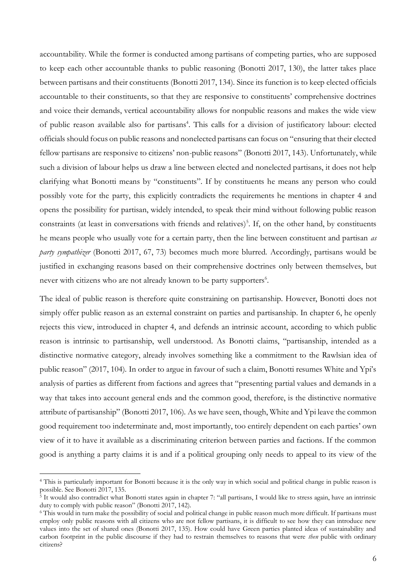accountability. While the former is conducted among partisans of competing parties, who are supposed to keep each other accountable thanks to public reasoning (Bonotti 2017, 130), the latter takes place between partisans and their constituents (Bonotti 2017, 134). Since its function is to keep elected officials accountable to their constituents, so that they are responsive to constituents' comprehensive doctrines and voice their demands, vertical accountability allows for nonpublic reasons and makes the wide view of public reason available also for partisans<sup>4</sup>. This calls for a division of justificatory labour: elected officials should focus on public reasons and nonelected partisans can focus on "ensuring that their elected fellow partisans are responsive to citizens' non-public reasons" (Bonotti 2017, 143). Unfortunately, while such a division of labour helps us draw a line between elected and nonelected partisans, it does not help clarifying what Bonotti means by "constituents". If by constituents he means any person who could possibly vote for the party, this explicitly contradicts the requirements he mentions in chapter 4 and opens the possibility for partisan, widely intended, to speak their mind without following public reason constraints (at least in conversations with friends and relatives)<sup>5</sup>. If, on the other hand, by constituents he means people who usually vote for a certain party, then the line between constituent and partisan *as party sympathizer* (Bonotti 2017, 67, 73) becomes much more blurred. Accordingly, partisans would be justified in exchanging reasons based on their comprehensive doctrines only between themselves, but never with citizens who are not already known to be party supporters<sup>6</sup>.

The ideal of public reason is therefore quite constraining on partisanship. However, Bonotti does not simply offer public reason as an external constraint on parties and partisanship. In chapter 6, he openly rejects this view, introduced in chapter 4, and defends an intrinsic account, according to which public reason is intrinsic to partisanship, well understood. As Bonotti claims, "partisanship, intended as a distinctive normative category, already involves something like a commitment to the Rawlsian idea of public reason" (2017, 104). In order to argue in favour of such a claim, Bonotti resumes White and Ypi's analysis of parties as different from factions and agrees that "presenting partial values and demands in a way that takes into account general ends and the common good, therefore, is the distinctive normative attribute of partisanship" (Bonotti 2017, 106). As we have seen, though, White and Ypi leave the common good requirement too indeterminate and, most importantly, too entirely dependent on each parties' own view of it to have it available as a discriminating criterion between parties and factions. If the common good is anything a party claims it is and if a political grouping only needs to appeal to its view of the

<sup>4</sup> This is particularly important for Bonotti because it is the only way in which social and political change in public reason is possible. See Bonotti 2017, 135.

<sup>&</sup>lt;sup>5</sup> It would also contradict what Bonotti states again in chapter 7: "all partisans, I would like to stress again, have an intrinsic duty to comply with public reason" (Bonotti 2017, 142).

<sup>6</sup> This would in turn make the possibility of social and political change in public reason much more difficult. If partisans must employ only public reasons with all citizens who are not fellow partisans, it is difficult to see how they can introduce new values into the set of shared ones (Bonotti 2017, 135). How could have Green parties planted ideas of sustainability and carbon footprint in the public discourse if they had to restrain themselves to reasons that were *then* public with ordinary citizens?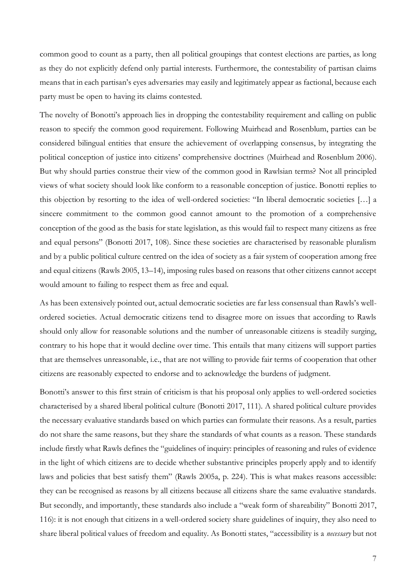common good to count as a party, then all political groupings that contest elections are parties, as long as they do not explicitly defend only partial interests. Furthermore, the contestability of partisan claims means that in each partisan's eyes adversaries may easily and legitimately appear as factional, because each party must be open to having its claims contested.

The novelty of Bonotti's approach lies in dropping the contestability requirement and calling on public reason to specify the common good requirement. Following Muirhead and Rosenblum, parties can be considered bilingual entities that ensure the achievement of overlapping consensus, by integrating the political conception of justice into citizens' comprehensive doctrines (Muirhead and Rosenblum 2006). But why should parties construe their view of the common good in Rawlsian terms? Not all principled views of what society should look like conform to a reasonable conception of justice. Bonotti replies to this objection by resorting to the idea of well-ordered societies: "In liberal democratic societies […] a sincere commitment to the common good cannot amount to the promotion of a comprehensive conception of the good as the basis for state legislation, as this would fail to respect many citizens as free and equal persons" (Bonotti 2017, 108). Since these societies are characterised by reasonable pluralism and by a public political culture centred on the idea of society as a fair system of cooperation among free and equal citizens (Rawls 2005, 13–14), imposing rules based on reasons that other citizens cannot accept would amount to failing to respect them as free and equal.

As has been extensively pointed out, actual democratic societies are far less consensual than Rawls's wellordered societies. Actual democratic citizens tend to disagree more on issues that according to Rawls should only allow for reasonable solutions and the number of unreasonable citizens is steadily surging, contrary to his hope that it would decline over time. This entails that many citizens will support parties that are themselves unreasonable, i.e., that are not willing to provide fair terms of cooperation that other citizens are reasonably expected to endorse and to acknowledge the burdens of judgment.

Bonotti's answer to this first strain of criticism is that his proposal only applies to well-ordered societies characterised by a shared liberal political culture (Bonotti 2017, 111). A shared political culture provides the necessary evaluative standards based on which parties can formulate their reasons. As a result, parties do not share the same reasons, but they share the standards of what counts as a reason. These standards include firstly what Rawls defines the "guidelines of inquiry: principles of reasoning and rules of evidence in the light of which citizens are to decide whether substantive principles properly apply and to identify laws and policies that best satisfy them" (Rawls 2005a, p. 224). This is what makes reasons accessible: they can be recognised as reasons by all citizens because all citizens share the same evaluative standards. But secondly, and importantly, these standards also include a "weak form of shareability" Bonotti 2017, 116): it is not enough that citizens in a well-ordered society share guidelines of inquiry, they also need to share liberal political values of freedom and equality. As Bonotti states, "accessibility is a *necessary* but not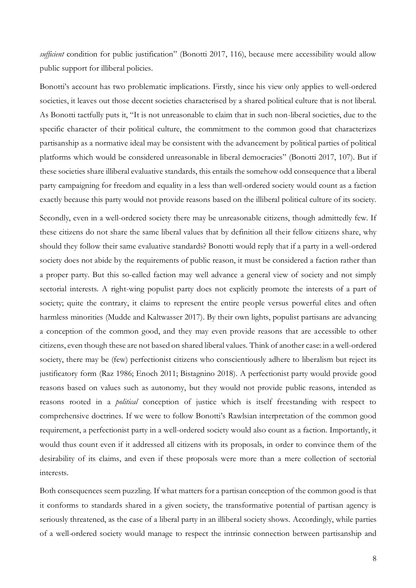*sufficient* condition for public justification" (Bonotti 2017, 116), because mere accessibility would allow public support for illiberal policies.

Bonotti's account has two problematic implications. Firstly, since his view only applies to well-ordered societies, it leaves out those decent societies characterised by a shared political culture that is not liberal. As Bonotti tactfully puts it, "It is not unreasonable to claim that in such non-liberal societies, due to the specific character of their political culture, the commitment to the common good that characterizes partisanship as a normative ideal may be consistent with the advancement by political parties of political platforms which would be considered unreasonable in liberal democracies" (Bonotti 2017, 107). But if these societies share illiberal evaluative standards, this entails the somehow odd consequence that a liberal party campaigning for freedom and equality in a less than well-ordered society would count as a faction exactly because this party would not provide reasons based on the illiberal political culture of its society.

Secondly, even in a well-ordered society there may be unreasonable citizens, though admittedly few. If these citizens do not share the same liberal values that by definition all their fellow citizens share, why should they follow their same evaluative standards? Bonotti would reply that if a party in a well-ordered society does not abide by the requirements of public reason, it must be considered a faction rather than a proper party. But this so-called faction may well advance a general view of society and not simply sectorial interests. A right-wing populist party does not explicitly promote the interests of a part of society; quite the contrary, it claims to represent the entire people versus powerful elites and often harmless minorities (Mudde and Kaltwasser 2017). By their own lights, populist partisans are advancing a conception of the common good, and they may even provide reasons that are accessible to other citizens, even though these are not based on shared liberal values. Think of another case: in a well-ordered society, there may be (few) perfectionist citizens who conscientiously adhere to liberalism but reject its justificatory form (Raz 1986; Enoch 2011; Bistagnino 2018). A perfectionist party would provide good reasons based on values such as autonomy, but they would not provide public reasons, intended as reasons rooted in a *political* conception of justice which is itself freestanding with respect to comprehensive doctrines. If we were to follow Bonotti's Rawlsian interpretation of the common good requirement, a perfectionist party in a well-ordered society would also count as a faction. Importantly, it would thus count even if it addressed all citizens with its proposals, in order to convince them of the desirability of its claims, and even if these proposals were more than a mere collection of sectorial interests.

Both consequences seem puzzling. If what matters for a partisan conception of the common good is that it conforms to standards shared in a given society, the transformative potential of partisan agency is seriously threatened, as the case of a liberal party in an illiberal society shows. Accordingly, while parties of a well-ordered society would manage to respect the intrinsic connection between partisanship and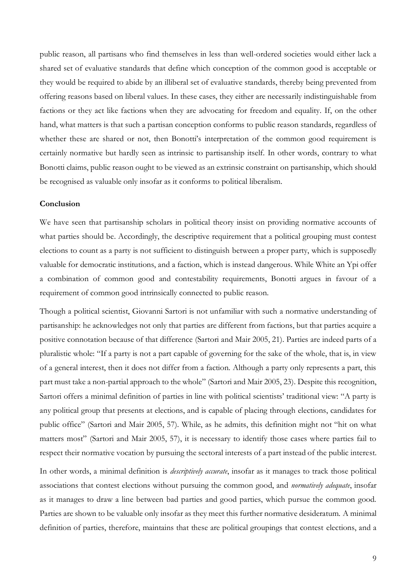public reason, all partisans who find themselves in less than well-ordered societies would either lack a shared set of evaluative standards that define which conception of the common good is acceptable or they would be required to abide by an illiberal set of evaluative standards, thereby being prevented from offering reasons based on liberal values. In these cases, they either are necessarily indistinguishable from factions or they act like factions when they are advocating for freedom and equality. If, on the other hand, what matters is that such a partisan conception conforms to public reason standards, regardless of whether these are shared or not, then Bonotti's interpretation of the common good requirement is certainly normative but hardly seen as intrinsic to partisanship itself. In other words, contrary to what Bonotti claims, public reason ought to be viewed as an extrinsic constraint on partisanship, which should be recognised as valuable only insofar as it conforms to political liberalism.

#### **Conclusion**

We have seen that partisanship scholars in political theory insist on providing normative accounts of what parties should be. Accordingly, the descriptive requirement that a political grouping must contest elections to count as a party is not sufficient to distinguish between a proper party, which is supposedly valuable for democratic institutions, and a faction, which is instead dangerous. While White an Ypi offer a combination of common good and contestability requirements, Bonotti argues in favour of a requirement of common good intrinsically connected to public reason.

Though a political scientist, Giovanni Sartori is not unfamiliar with such a normative understanding of partisanship: he acknowledges not only that parties are different from factions, but that parties acquire a positive connotation because of that difference (Sartori and Mair 2005, 21). Parties are indeed parts of a pluralistic whole: "If a party is not a part capable of governing for the sake of the whole, that is, in view of a general interest, then it does not differ from a faction. Although a party only represents a part, this part must take a non-partial approach to the whole" (Sartori and Mair 2005, 23). Despite this recognition, Sartori offers a minimal definition of parties in line with political scientists' traditional view: "A party is any political group that presents at elections, and is capable of placing through elections, candidates for public office" (Sartori and Mair 2005, 57). While, as he admits, this definition might not "hit on what matters most" (Sartori and Mair 2005, 57), it is necessary to identify those cases where parties fail to respect their normative vocation by pursuing the sectoral interests of a part instead of the public interest.

In other words, a minimal definition is *descriptively accurate*, insofar as it manages to track those political associations that contest elections without pursuing the common good, and *normatively adequate*, insofar as it manages to draw a line between bad parties and good parties, which pursue the common good. Parties are shown to be valuable only insofar as they meet this further normative desideratum. A minimal definition of parties, therefore, maintains that these are political groupings that contest elections, and a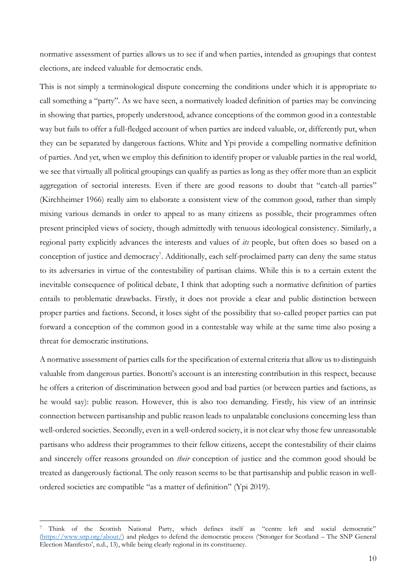normative assessment of parties allows us to see if and when parties, intended as groupings that contest elections, are indeed valuable for democratic ends.

This is not simply a terminological dispute concerning the conditions under which it is appropriate to call something a "party". As we have seen, a normatively loaded definition of parties may be convincing in showing that parties, properly understood, advance conceptions of the common good in a contestable way but fails to offer a full-fledged account of when parties are indeed valuable, or, differently put, when they can be separated by dangerous factions. White and Ypi provide a compelling normative definition of parties. And yet, when we employ this definition to identify proper or valuable parties in the real world, we see that virtually all political groupings can qualify as parties as long as they offer more than an explicit aggregation of sectorial interests. Even if there are good reasons to doubt that "catch-all parties" (Kirchheimer 1966) really aim to elaborate a consistent view of the common good, rather than simply mixing various demands in order to appeal to as many citizens as possible, their programmes often present principled views of society, though admittedly with tenuous ideological consistency. Similarly, a regional party explicitly advances the interests and values of *its* people, but often does so based on a conception of justice and democracy<sup>7</sup>. Additionally, each self-proclaimed party can deny the same status to its adversaries in virtue of the contestability of partisan claims. While this is to a certain extent the inevitable consequence of political debate, I think that adopting such a normative definition of parties entails to problematic drawbacks. Firstly, it does not provide a clear and public distinction between proper parties and factions. Second, it loses sight of the possibility that so-called proper parties can put forward a conception of the common good in a contestable way while at the same time also posing a threat for democratic institutions.

A normative assessment of parties calls for the specification of external criteria that allow us to distinguish valuable from dangerous parties. Bonotti's account is an interesting contribution in this respect, because he offers a criterion of discrimination between good and bad parties (or between parties and factions, as he would say): public reason. However, this is also too demanding. Firstly, his view of an intrinsic connection between partisanship and public reason leads to unpalatable conclusions concerning less than well-ordered societies. Secondly, even in a well-ordered society, it is not clear why those few unreasonable partisans who address their programmes to their fellow citizens, accept the contestability of their claims and sincerely offer reasons grounded on *their* conception of justice and the common good should be treated as dangerously factional. The only reason seems to be that partisanship and public reason in wellordered societies are compatible "as a matter of definition" (Ypi 2019).

<sup>7</sup> Think of the Scottish National Party, which defines itself as "centre left and social democratic" [\(https://www.snp.org/about/\)](https://www.snp.org/about/) and pledges to defend the democratic process ('Stronger for Scotland – The SNP General Election Manifesto', n.d., 13), while being clearly regional in its constituency.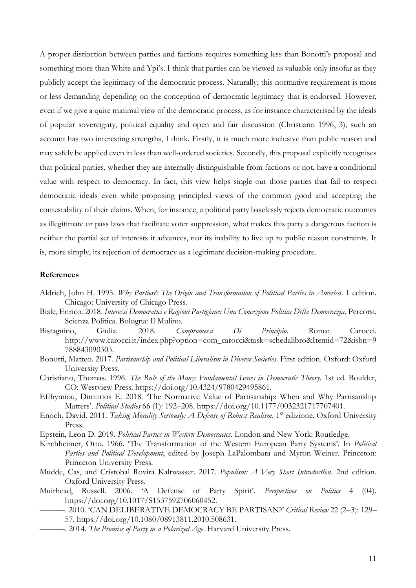A proper distinction between parties and factions requires something less than Bonotti's proposal and something more than White and Ypi's. I think that parties can be viewed as valuable only insofar as they publicly accept the legitimacy of the democratic process. Naturally, this normative requirement is more or less demanding depending on the conception of democratic legitimacy that is endorsed. However, even if we give a quite minimal view of the democratic process, as for instance characterised by the ideals of popular sovereignty, political equality and open and fair discussion (Christiano 1996, 3), such an account has two interesting strengths, I think. Firstly, it is much more inclusive than public reason and may safely be applied even in less than well-ordered societies. Secondly, this proposal explicitly recognises that political parties, whether they are internally distinguishable from factions or not, have a conditional value with respect to democracy. In fact, this view helps single out those parties that fail to respect democratic ideals even while proposing principled views of the common good and accepting the contestability of their claims. When, for instance, a political party baselessly rejects democratic outcomes as illegitimate or pass laws that facilitate voter suppression, what makes this party a dangerous faction is neither the partial set of interests it advances, nor its inability to live up to public reason constraints. It is, more simply, its rejection of democracy as a legitimate decision-making procedure.

#### **References**

- Aldrich, John H. 1995. *Why Parties?: The Origin and Transformation of Political Parties in America*. 1 edition. Chicago: University of Chicago Press.
- Biale, Enrico. 2018. *Interessi Democratici e Ragioni Partigiane: Una Concezione Politica Della Democrazia*. Percorsi. Scienza Politica. Bologna: Il Mulino.
- Bistagnino, Giulia. 2018. *Compromessi Di Principio*. Roma: Carocci. http://www.carocci.it/index.php?option=com\_carocci&task=schedalibro&Itemid=72&isbn=9 788843090303.
- Bonotti, Matteo. 2017. *Partisanship and Political Liberalism in Diverse Societies*. First edition. Oxford: Oxford University Press.
- Christiano, Thomas. 1996. *The Rule of the Many: Fundamental Issues in Democratic Theory*. 1st ed. Boulder, CO: Westview Press. https://doi.org/10.4324/9780429495861.
- Efthymiou, Dimitrios E. 2018. 'The Normative Value of Partisanship: When and Why Partisanship Matters'. *Political Studies* 66 (1): 192–208. https://doi.org/10.1177/0032321717707401.
- Enoch, David. 2011. *Taking Morality Seriously: A Defense of Robust Realism*. 1° edizione. Oxford University Press.
- Epstein, Leon D. 2019. *Political Parties in Western Democracies*. London and New York: Routledge.
- Kirchheimer, Otto. 1966. 'The Transformation of the Western European Party Systems'. In *Political Parties and Political Development*, edited by Joseph LaPalombara and Myron Weiner. Princeton: Princeton University Press.
- Mudde, Cas, and Cristobal Rovira Kaltwasser. 2017. *Populism: A Very Short Introduction*. 2nd edition. Oxford University Press.
- Muirhead, Russell. 2006. 'A Defense of Party Spirit'. *Perspectives on Politics* 4 (04). https://doi.org/10.1017/S1537592706060452.
	- ———. 2010. 'CAN DELIBERATIVE DEMOCRACY BE PARTISAN?' *Critical Review* 22 (2–3): 129– 57. https://doi.org/10.1080/08913811.2010.508631.
	- ———. 2014. *The Promise of Party in a Polarized Age*. Harvard University Press.